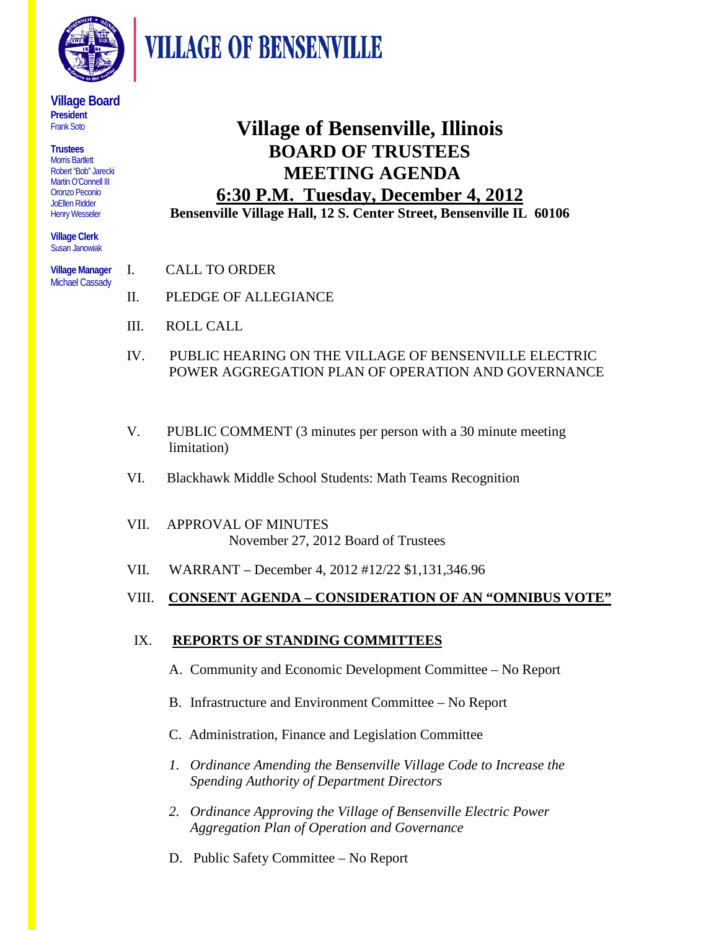

**VILLAGE OF BENSENVILLE** 

#### **Village Board President**  Frank Soto

**Trustees** Morris Bartlett Robert "Bob" Jarecki Martin O'Connell III Oronzo Peconio JoEllen Ridder Henry Wesseler

**Village Clerk** Susan Janowiak

**Village Manager**  Michael Cassady

# **Village of Bensenville, Illinois BOARD OF TRUSTEES MEETING AGENDA 6:30 P.M. Tuesday, December 4, 2012**

**Bensenville Village Hall, 12 S. Center Street, Bensenville IL 60106**

- I. CALL TO ORDER
- II. PLEDGE OF ALLEGIANCE
- III. ROLL CALL
- IV. PUBLIC HEARING ON THE VILLAGE OF BENSENVILLE ELECTRIC POWER AGGREGATION PLAN OF OPERATION AND GOVERNANCE
- V. PUBLIC COMMENT (3 minutes per person with a 30 minute meeting limitation)
- VI. Blackhawk Middle School Students: Math Teams Recognition
- VII. APPROVAL OF MINUTES November 27, 2012 Board of Trustees
- VII. WARRANT December 4, 2012 #12/22 \$1,131,346.96

# VIII. **CONSENT AGENDA – CONSIDERATION OF AN "OMNIBUS VOTE"**

# IX. **REPORTS OF STANDING COMMITTEES**

- A. Community and Economic Development Committee No Report
- B. Infrastructure and Environment Committee No Report
- C. Administration, Finance and Legislation Committee
- *1. Ordinance Amending the Bensenville Village Code to Increase the Spending Authority of Department Directors*
- *2. Ordinance Approving the Village of Bensenville Electric Power Aggregation Plan of Operation and Governance*
- D. Public Safety Committee No Report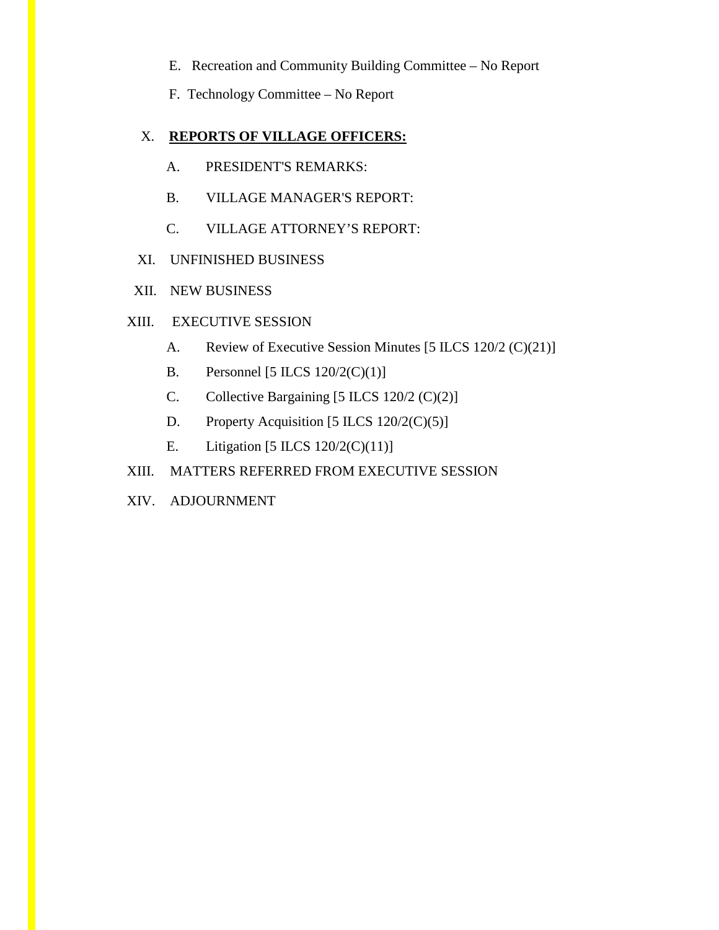E. Recreation and Community Building Committee – No Report

F. Technology Committee – No Report

#### X. **REPORTS OF VILLAGE OFFICERS:**

- A. PRESIDENT'S REMARKS:
- B. VILLAGE MANAGER'S REPORT:
- C. VILLAGE ATTORNEY'S REPORT:
- XI. UNFINISHED BUSINESS
- XII. NEW BUSINESS

#### XIII. EXECUTIVE SESSION

- A. Review of Executive Session Minutes [5 ILCS 120/2 (C)(21)]
- B. Personnel  $[5 \text{ ILCS } 120/2(\text{C})(1)]$
- C. Collective Bargaining [5 ILCS 120/2 (C)(2)]
- D. Property Acquisition [5 ILCS  $120/2(C)(5)$ ]
- E. Litigation  $[5 \text{ ILCS } 120/2 \text{ (C)}(11)]$
- XIII. MATTERS REFERRED FROM EXECUTIVE SESSION
- XIV. ADJOURNMENT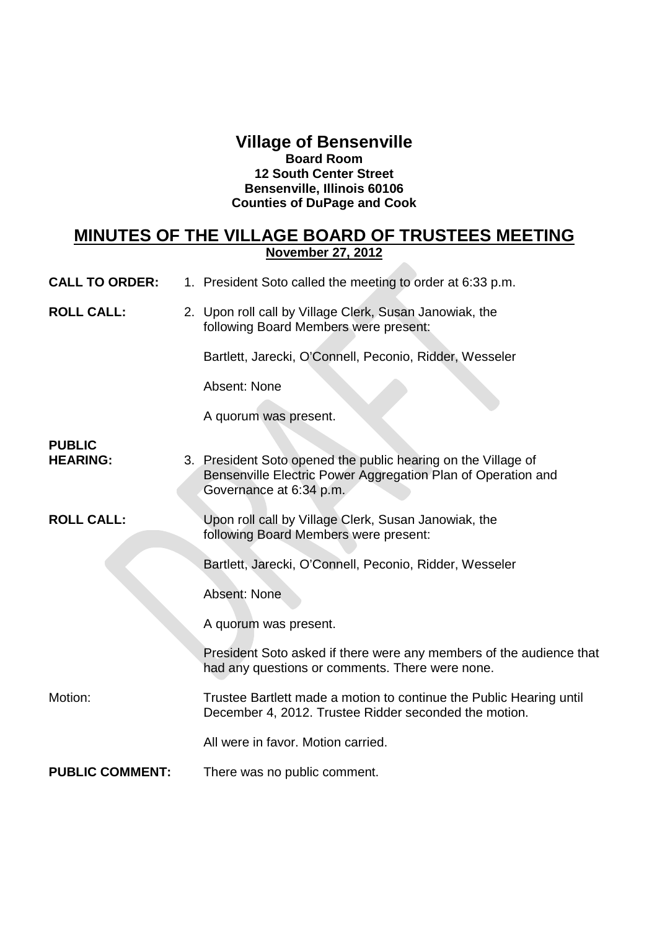### **Village of Bensenville Board Room 12 South Center Street Bensenville, Illinois 60106 Counties of DuPage and Cook**

# **MINUTES OF THE VILLAGE BOARD OF TRUSTEES MEETING November 27, 2012**

| <b>CALL TO ORDER:</b> | 1. President Soto called the meeting to order at 6:33 p.m. |  |
|-----------------------|------------------------------------------------------------|--|
|-----------------------|------------------------------------------------------------|--|

**ROLL CALL:** 2. Upon roll call by Village Clerk, Susan Janowiak, the following Board Members were present:

Bartlett, Jarecki, O'Connell, Peconio, Ridder, Wesseler

Absent: None

A quorum was present.

# **PUBLIC**

**HEARING:** 3. President Soto opened the public hearing on the Village of Bensenville Electric Power Aggregation Plan of Operation and Governance at 6:34 p.m.

**ROLL CALL:** Upon roll call by Village Clerk, Susan Janowiak, the following Board Members were present:

Bartlett, Jarecki, O'Connell, Peconio, Ridder, Wesseler

Absent: None

A quorum was present.

President Soto asked if there were any members of the audience that had any questions or comments. There were none.

Motion: Trustee Bartlett made a motion to continue the Public Hearing until December 4, 2012. Trustee Ridder seconded the motion.

All were in favor. Motion carried.

**PUBLIC COMMENT:** There was no public comment.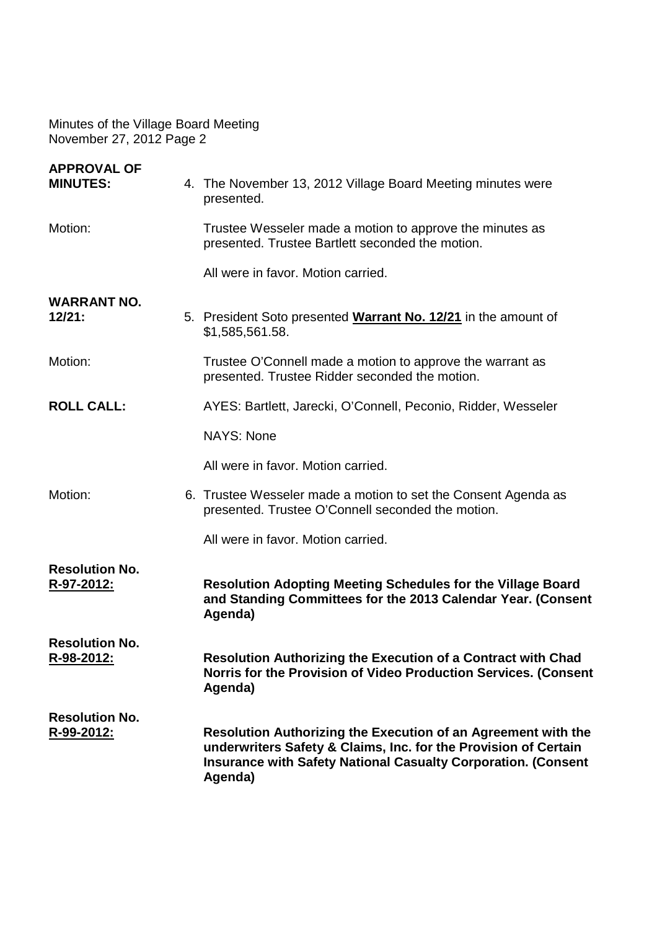| <b>APPROVAL OF</b><br><b>MINUTES:</b>      | 4. The November 13, 2012 Village Board Meeting minutes were<br>presented.                                                                                                                                           |  |  |
|--------------------------------------------|---------------------------------------------------------------------------------------------------------------------------------------------------------------------------------------------------------------------|--|--|
| Motion:                                    | Trustee Wesseler made a motion to approve the minutes as<br>presented. Trustee Bartlett seconded the motion.                                                                                                        |  |  |
|                                            | All were in favor. Motion carried.                                                                                                                                                                                  |  |  |
| <b>WARRANT NO.</b><br>12/21:               | 5. President Soto presented <b>Warrant No. 12/21</b> in the amount of<br>\$1,585,561.58.                                                                                                                            |  |  |
| Motion:                                    | Trustee O'Connell made a motion to approve the warrant as<br>presented. Trustee Ridder seconded the motion.                                                                                                         |  |  |
| <b>ROLL CALL:</b>                          | AYES: Bartlett, Jarecki, O'Connell, Peconio, Ridder, Wesseler                                                                                                                                                       |  |  |
|                                            | <b>NAYS: None</b>                                                                                                                                                                                                   |  |  |
|                                            | All were in favor. Motion carried.                                                                                                                                                                                  |  |  |
| Motion:                                    | 6. Trustee Wesseler made a motion to set the Consent Agenda as<br>presented. Trustee O'Connell seconded the motion.                                                                                                 |  |  |
|                                            | All were in favor. Motion carried.                                                                                                                                                                                  |  |  |
| <b>Resolution No.</b><br>R-97-2012:        | <b>Resolution Adopting Meeting Schedules for the Village Board</b><br>and Standing Committees for the 2013 Calendar Year. (Consent<br>Agenda)                                                                       |  |  |
| <b>Resolution No.</b><br><u>R-98-2012:</u> | <b>Resolution Authorizing the Execution of a Contract with Chad</b><br>Norris for the Provision of Video Production Services. (Consent<br>Agenda)                                                                   |  |  |
| <b>Resolution No.</b><br>R-99-2012:        | Resolution Authorizing the Execution of an Agreement with the<br>underwriters Safety & Claims, Inc. for the Provision of Certain<br><b>Insurance with Safety National Casualty Corporation. (Consent</b><br>Agenda) |  |  |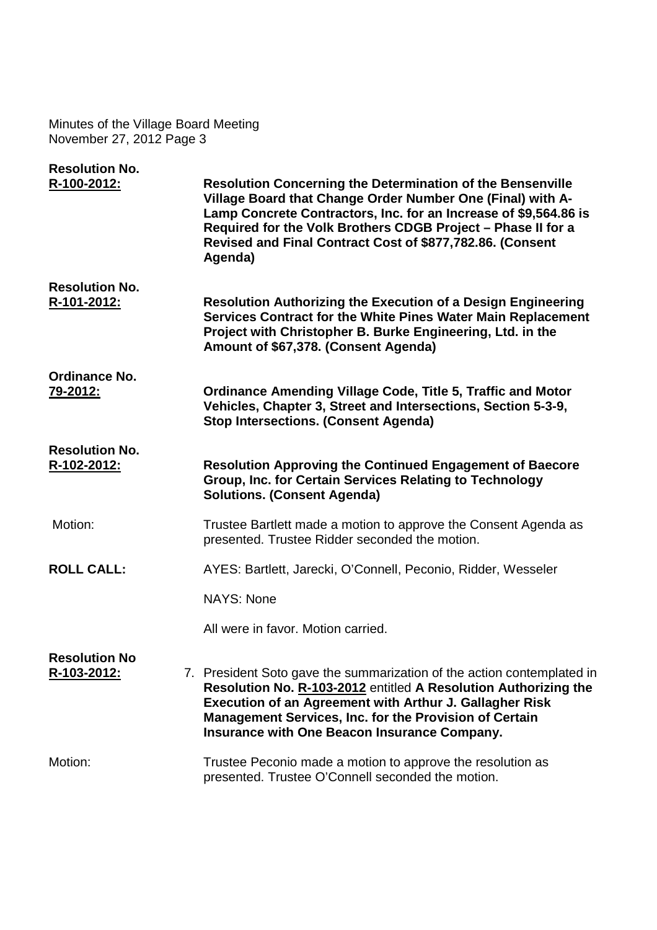| <b>Resolution No.</b>                |                                                                                                                                                                                                                                                                                                                                             |
|--------------------------------------|---------------------------------------------------------------------------------------------------------------------------------------------------------------------------------------------------------------------------------------------------------------------------------------------------------------------------------------------|
| R-100-2012:                          | <b>Resolution Concerning the Determination of the Bensenville</b><br>Village Board that Change Order Number One (Final) with A-<br>Lamp Concrete Contractors, Inc. for an Increase of \$9,564.86 is<br>Required for the Volk Brothers CDGB Project - Phase II for a<br>Revised and Final Contract Cost of \$877,782.86. (Consent<br>Agenda) |
| <b>Resolution No.</b>                |                                                                                                                                                                                                                                                                                                                                             |
| R-101-2012:                          | <b>Resolution Authorizing the Execution of a Design Engineering</b><br>Services Contract for the White Pines Water Main Replacement<br>Project with Christopher B. Burke Engineering, Ltd. in the<br>Amount of \$67,378. (Consent Agenda)                                                                                                   |
| Ordinance No.<br>79-2012:            | <b>Ordinance Amending Village Code, Title 5, Traffic and Motor</b><br>Vehicles, Chapter 3, Street and Intersections, Section 5-3-9,<br><b>Stop Intersections. (Consent Agenda)</b>                                                                                                                                                          |
| <b>Resolution No.</b><br>R-102-2012: | <b>Resolution Approving the Continued Engagement of Baecore</b><br><b>Group, Inc. for Certain Services Relating to Technology</b><br><b>Solutions. (Consent Agenda)</b>                                                                                                                                                                     |
| Motion:                              | Trustee Bartlett made a motion to approve the Consent Agenda as<br>presented. Trustee Ridder seconded the motion.                                                                                                                                                                                                                           |
| <b>ROLL CALL:</b>                    | AYES: Bartlett, Jarecki, O'Connell, Peconio, Ridder, Wesseler                                                                                                                                                                                                                                                                               |
|                                      | <b>NAYS: None</b>                                                                                                                                                                                                                                                                                                                           |
|                                      | All were in favor. Motion carried.                                                                                                                                                                                                                                                                                                          |
| <b>Resolution No</b><br>R-103-2012:  | 7. President Soto gave the summarization of the action contemplated in<br>Resolution No. R-103-2012 entitled A Resolution Authorizing the<br>Execution of an Agreement with Arthur J. Gallagher Risk<br><b>Management Services, Inc. for the Provision of Certain</b><br>Insurance with One Beacon Insurance Company.                       |
| Motion:                              | Trustee Peconio made a motion to approve the resolution as<br>presented. Trustee O'Connell seconded the motion.                                                                                                                                                                                                                             |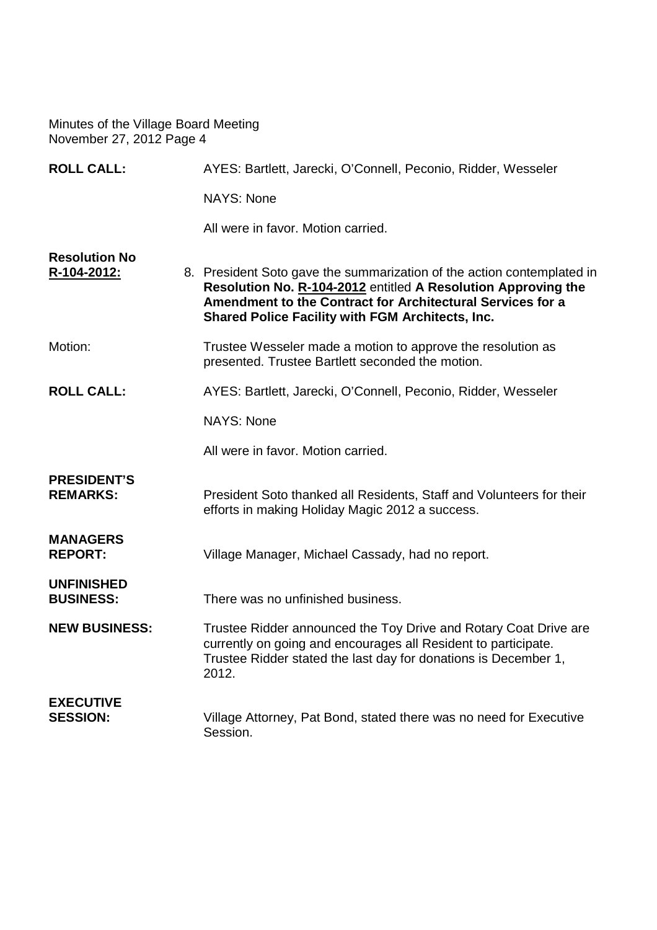| <b>ROLL CALL:</b>                     | AYES: Bartlett, Jarecki, O'Connell, Peconio, Ridder, Wesseler                                                                                                                                                                                                    |  |  |
|---------------------------------------|------------------------------------------------------------------------------------------------------------------------------------------------------------------------------------------------------------------------------------------------------------------|--|--|
|                                       | <b>NAYS: None</b>                                                                                                                                                                                                                                                |  |  |
|                                       | All were in favor. Motion carried.                                                                                                                                                                                                                               |  |  |
| <b>Resolution No</b><br>R-104-2012:   | 8. President Soto gave the summarization of the action contemplated in<br>Resolution No. R-104-2012 entitled A Resolution Approving the<br>Amendment to the Contract for Architectural Services for a<br><b>Shared Police Facility with FGM Architects, Inc.</b> |  |  |
| Motion:                               | Trustee Wesseler made a motion to approve the resolution as<br>presented. Trustee Bartlett seconded the motion.                                                                                                                                                  |  |  |
| <b>ROLL CALL:</b>                     | AYES: Bartlett, Jarecki, O'Connell, Peconio, Ridder, Wesseler                                                                                                                                                                                                    |  |  |
|                                       | <b>NAYS: None</b>                                                                                                                                                                                                                                                |  |  |
|                                       | All were in favor. Motion carried.                                                                                                                                                                                                                               |  |  |
| <b>PRESIDENT'S</b><br><b>REMARKS:</b> | President Soto thanked all Residents, Staff and Volunteers for their<br>efforts in making Holiday Magic 2012 a success.                                                                                                                                          |  |  |
| <b>MANAGERS</b><br><b>REPORT:</b>     | Village Manager, Michael Cassady, had no report.                                                                                                                                                                                                                 |  |  |
| <b>UNFINISHED</b><br><b>BUSINESS:</b> | There was no unfinished business.                                                                                                                                                                                                                                |  |  |
| <b>NEW BUSINESS:</b>                  | Trustee Ridder announced the Toy Drive and Rotary Coat Drive are<br>currently on going and encourages all Resident to participate.<br>Trustee Ridder stated the last day for donations is December 1,<br>2012.                                                   |  |  |
| <b>EXECUTIVE</b><br><b>SESSION:</b>   | Village Attorney, Pat Bond, stated there was no need for Executive<br>Session.                                                                                                                                                                                   |  |  |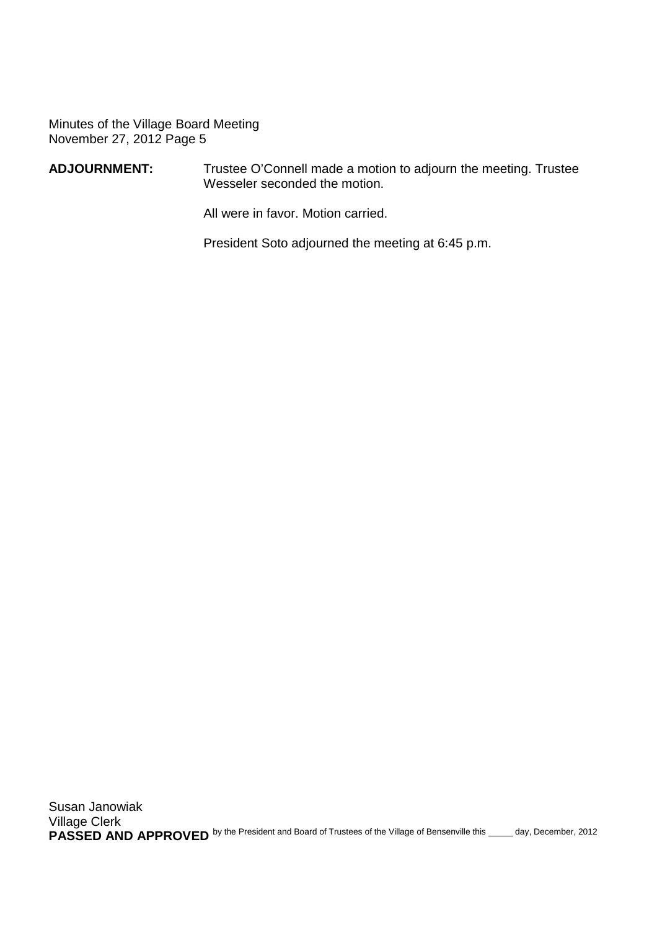#### **ADJOURNMENT:** Trustee O'Connell made a motion to adjourn the meeting. Trustee Wesseler seconded the motion.

All were in favor. Motion carried.

President Soto adjourned the meeting at 6:45 p.m.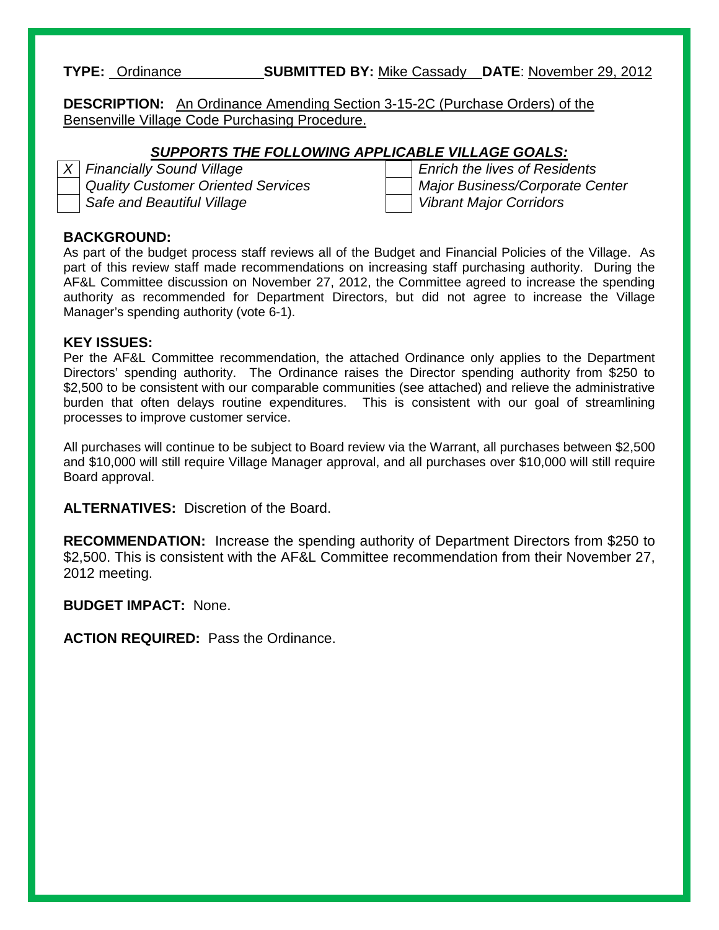#### **TYPE:** Ordinance **SUBMITTED BY:** Mike Cassady **DATE**: November 29, 2012

**DESCRIPTION:** An Ordinance Amending Section 3-15-2C (Purchase Orders) of the Bensenville Village Code Purchasing Procedure.

#### *SUPPORTS THE FOLLOWING APPLICABLE VILLAGE GOALS:*

*Safe and Beautiful Village Vibrant Major Corridors*

*X Financially Sound Village Enrich the lives of Residents Quality Customer Oriented Services Major Business/Corporate Center*

#### **BACKGROUND:**

As part of the budget process staff reviews all of the Budget and Financial Policies of the Village. As part of this review staff made recommendations on increasing staff purchasing authority. During the AF&L Committee discussion on November 27, 2012, the Committee agreed to increase the spending authority as recommended for Department Directors, but did not agree to increase the Village Manager's spending authority (vote 6-1).

#### **KEY ISSUES:**

Per the AF&L Committee recommendation, the attached Ordinance only applies to the Department Directors' spending authority. The Ordinance raises the Director spending authority from \$250 to \$2,500 to be consistent with our comparable communities (see attached) and relieve the administrative burden that often delays routine expenditures. This is consistent with our goal of streamlining processes to improve customer service.

All purchases will continue to be subject to Board review via the Warrant, all purchases between \$2,500 and \$10,000 will still require Village Manager approval, and all purchases over \$10,000 will still require Board approval.

**ALTERNATIVES:** Discretion of the Board.

**RECOMMENDATION:** Increase the spending authority of Department Directors from \$250 to \$2,500. This is consistent with the AF&L Committee recommendation from their November 27, 2012 meeting.

**BUDGET IMPACT:** None.

**ACTION REQUIRED:** Pass the Ordinance.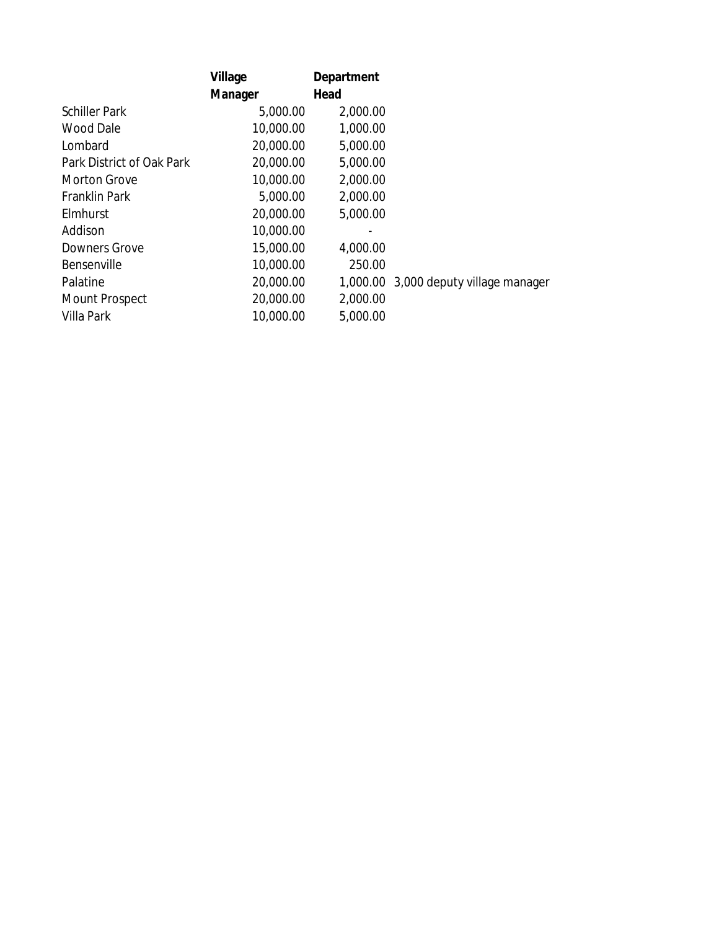|                           | Village   | Department |                                       |
|---------------------------|-----------|------------|---------------------------------------|
|                           | Manager   | Head       |                                       |
| <b>Schiller Park</b>      | 5,000.00  | 2,000.00   |                                       |
| Wood Dale                 | 10,000.00 | 1,000.00   |                                       |
| Lombard                   | 20,000.00 | 5,000.00   |                                       |
| Park District of Oak Park | 20,000.00 | 5,000.00   |                                       |
| <b>Morton Grove</b>       | 10,000.00 | 2,000.00   |                                       |
| <b>Franklin Park</b>      | 5,000.00  | 2,000.00   |                                       |
| Elmhurst                  | 20,000.00 | 5,000.00   |                                       |
| Addison                   | 10,000.00 |            |                                       |
| <b>Downers Grove</b>      | 15,000.00 | 4,000.00   |                                       |
| Bensenville               | 10,000.00 | 250.00     |                                       |
| Palatine                  | 20,000.00 |            | 1,000.00 3,000 deputy village manager |
| <b>Mount Prospect</b>     | 20,000.00 | 2,000.00   |                                       |
| Villa Park                | 10,000.00 | 5,000.00   |                                       |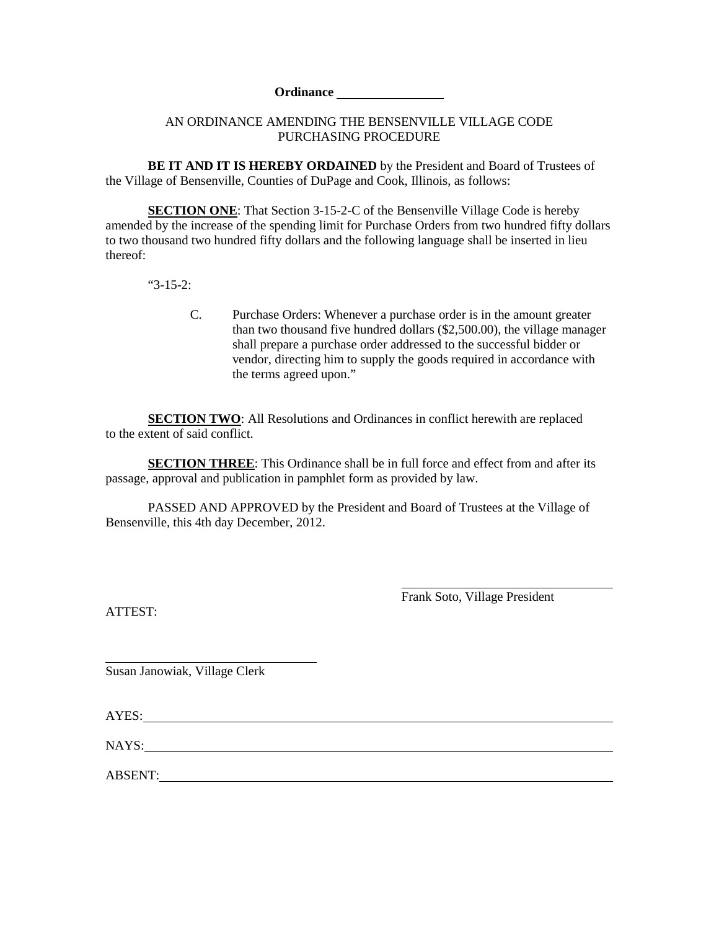#### **Ordinance**

#### AN ORDINANCE AMENDING THE BENSENVILLE VILLAGE CODE PURCHASING PROCEDURE

**BE IT AND IT IS HEREBY ORDAINED** by the President and Board of Trustees of the Village of Bensenville, Counties of DuPage and Cook, Illinois, as follows:

**SECTION ONE:** That Section 3-15-2-C of the Bensenville Village Code is hereby amended by the increase of the spending limit for Purchase Orders from two hundred fifty dollars to two thousand two hundred fifty dollars and the following language shall be inserted in lieu thereof:

"3-15-2:

C. Purchase Orders: Whenever a purchase order is in the amount greater than two thousand five hundred dollars (\$2,500.00), the village manager shall prepare a purchase order addressed to the successful bidder or vendor, directing him to supply the goods required in accordance with the terms agreed upon."

**SECTION TWO**: All Resolutions and Ordinances in conflict herewith are replaced to the extent of said conflict.

**SECTION THREE**: This Ordinance shall be in full force and effect from and after its passage, approval and publication in pamphlet form as provided by law.

PASSED AND APPROVED by the President and Board of Trustees at the Village of Bensenville, this 4th day December, 2012.

ATTEST:

Frank Soto, Village President

Susan Janowiak, Village Clerk

AYES:

NAYS:

ABSENT: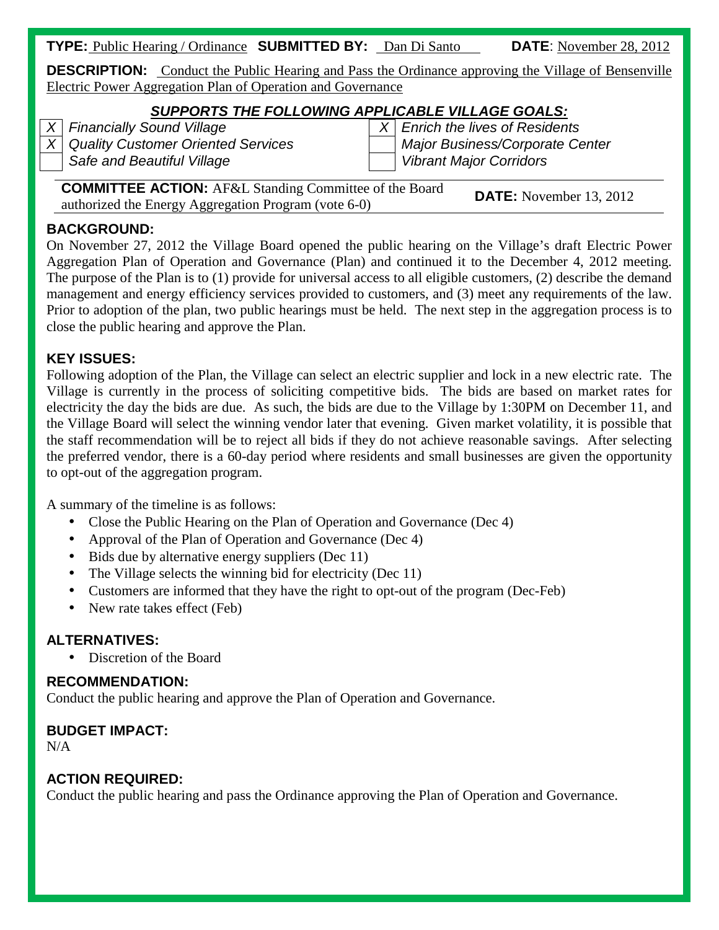| <b>TYPE:</b> Public Hearing / Ordinance <b>SUBMITTED BY:</b> Dan Di Santo |  |  | <b>DATE:</b> November 28, 2012 |
|---------------------------------------------------------------------------|--|--|--------------------------------|
|---------------------------------------------------------------------------|--|--|--------------------------------|

**DESCRIPTION:** Conduct the Public Hearing and Pass the Ordinance approving the Village of Bensenville Electric Power Aggregation Plan of Operation and Governance

# *SUPPORTS THE FOLLOWING APPLICABLE VILLAGE GOALS:*

*X Financially Sound Village X Enrich the lives of Residents Safe and Beautiful Village Vibrant Major Corridors*

*X Quality Customer Oriented Services Major Business/Corporate Center*

**COMMITTEE ACTION:** AF&L Standing Committee of the Board **COMMITTEL AUTION:** AT&L Standing Committee of the Board **DATE:** November 13, 2012 authorized the Energy Aggregation Program (vote 6-0)

# **BACKGROUND:**

On November 27, 2012 the Village Board opened the public hearing on the Village's draft Electric Power Aggregation Plan of Operation and Governance (Plan) and continued it to the December 4, 2012 meeting. The purpose of the Plan is to (1) provide for universal access to all eligible customers, (2) describe the demand management and energy efficiency services provided to customers, and (3) meet any requirements of the law. Prior to adoption of the plan, two public hearings must be held. The next step in the aggregation process is to close the public hearing and approve the Plan.

# **KEY ISSUES:**

Following adoption of the Plan, the Village can select an electric supplier and lock in a new electric rate. The Village is currently in the process of soliciting competitive bids. The bids are based on market rates for electricity the day the bids are due. As such, the bids are due to the Village by 1:30PM on December 11, and the Village Board will select the winning vendor later that evening. Given market volatility, it is possible that the staff recommendation will be to reject all bids if they do not achieve reasonable savings. After selecting the preferred vendor, there is a 60-day period where residents and small businesses are given the opportunity to opt-out of the aggregation program.

A summary of the timeline is as follows:

- Close the Public Hearing on the Plan of Operation and Governance (Dec 4)
- Approval of the Plan of Operation and Governance (Dec 4)  $\mathbf{r}$
- Bids due by alternative energy suppliers (Dec 11)
- The Village selects the winning bid for electricity (Dec 11)
- Customers are informed that they have the right to opt-out of the program (Dec-Feb)  $\mathbf{r}$
- New rate takes effect (Feb)

# **ALTERNATIVES:**

Discretion of the Board

# **RECOMMENDATION:**

Conduct the public hearing and approve the Plan of Operation and Governance.

# **BUDGET IMPACT:**

N/A

# **ACTION REQUIRED:**

Conduct the public hearing and pass the Ordinance approving the Plan of Operation and Governance.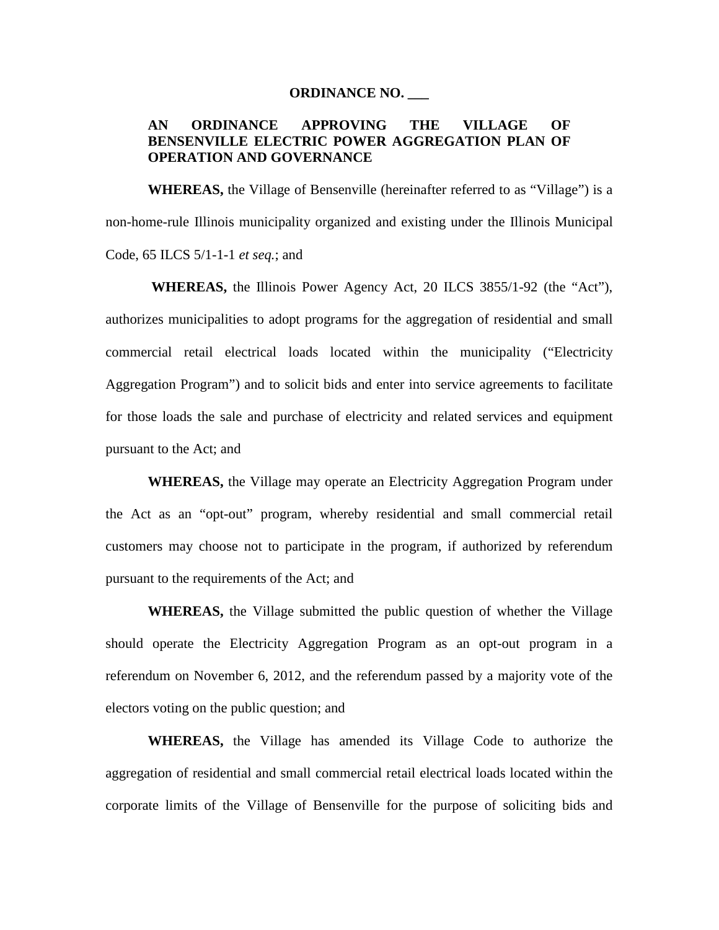#### **ORDINANCE NO. \_\_\_**

#### **AN ORDINANCE APPROVING THE VILLAGE OF BENSENVILLE ELECTRIC POWER AGGREGATION PLAN OF OPERATION AND GOVERNANCE**

**WHEREAS,** the Village of Bensenville (hereinafter referred to as "Village") is a non-home-rule Illinois municipality organized and existing under the Illinois Municipal Code, 65 ILCS 5/1-1-1 *et seq.*; and

**WHEREAS,** the Illinois Power Agency Act, 20 ILCS 3855/1-92 (the "Act"), authorizes municipalities to adopt programs for the aggregation of residential and small commercial retail electrical loads located within the municipality ("Electricity Aggregation Program") and to solicit bids and enter into service agreements to facilitate for those loads the sale and purchase of electricity and related services and equipment pursuant to the Act; and

**WHEREAS,** the Village may operate an Electricity Aggregation Program under the Act as an "opt-out" program, whereby residential and small commercial retail customers may choose not to participate in the program, if authorized by referendum pursuant to the requirements of the Act; and

**WHEREAS,** the Village submitted the public question of whether the Village should operate the Electricity Aggregation Program as an opt-out program in a referendum on November 6, 2012, and the referendum passed by a majority vote of the electors voting on the public question; and

**WHEREAS,** the Village has amended its Village Code to authorize the aggregation of residential and small commercial retail electrical loads located within the corporate limits of the Village of Bensenville for the purpose of soliciting bids and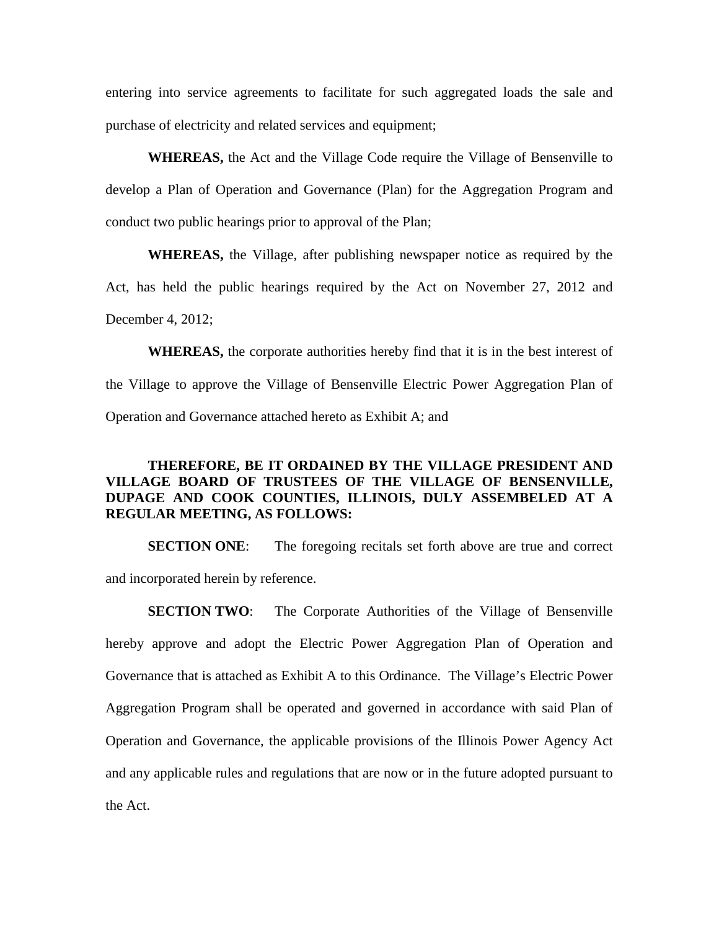entering into service agreements to facilitate for such aggregated loads the sale and purchase of electricity and related services and equipment;

**WHEREAS,** the Act and the Village Code require the Village of Bensenville to develop a Plan of Operation and Governance (Plan) for the Aggregation Program and conduct two public hearings prior to approval of the Plan;

**WHEREAS,** the Village, after publishing newspaper notice as required by the Act, has held the public hearings required by the Act on November 27, 2012 and December 4, 2012;

**WHEREAS,** the corporate authorities hereby find that it is in the best interest of the Village to approve the Village of Bensenville Electric Power Aggregation Plan of Operation and Governance attached hereto as Exhibit A; and

#### **THEREFORE, BE IT ORDAINED BY THE VILLAGE PRESIDENT AND VILLAGE BOARD OF TRUSTEES OF THE VILLAGE OF BENSENVILLE, DUPAGE AND COOK COUNTIES, ILLINOIS, DULY ASSEMBELED AT A REGULAR MEETING, AS FOLLOWS:**

**SECTION ONE:** The foregoing recitals set forth above are true and correct and incorporated herein by reference.

**SECTION TWO:** The Corporate Authorities of the Village of Bensenville hereby approve and adopt the Electric Power Aggregation Plan of Operation and Governance that is attached as Exhibit A to this Ordinance. The Village's Electric Power Aggregation Program shall be operated and governed in accordance with said Plan of Operation and Governance, the applicable provisions of the Illinois Power Agency Act and any applicable rules and regulations that are now or in the future adopted pursuant to the Act.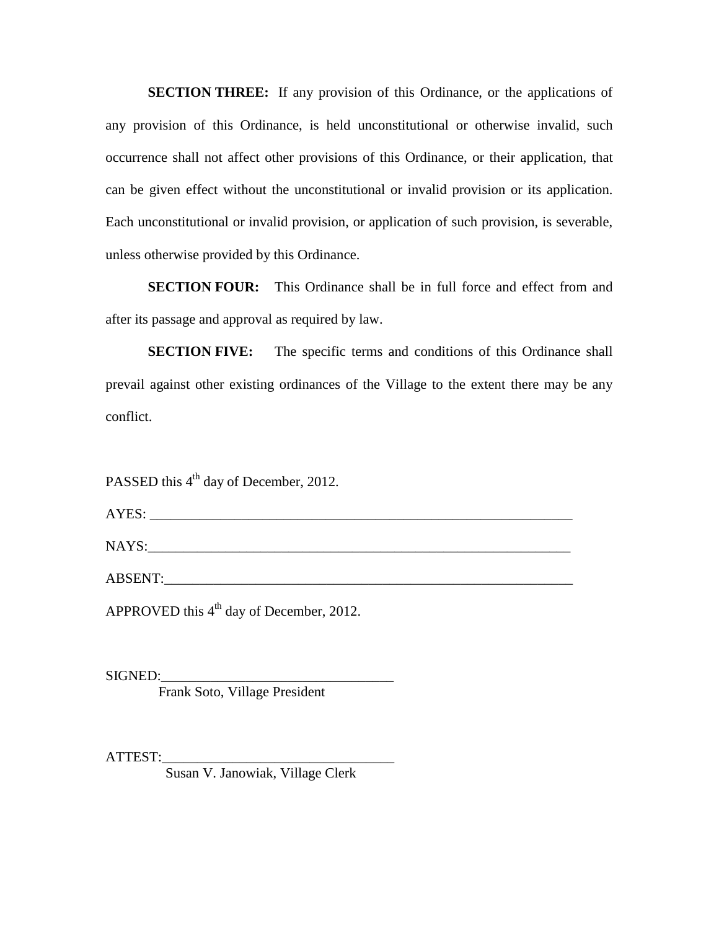**SECTION THREE:** If any provision of this Ordinance, or the applications of any provision of this Ordinance, is held unconstitutional or otherwise invalid, such occurrence shall not affect other provisions of this Ordinance, or their application, that can be given effect without the unconstitutional or invalid provision or its application. Each unconstitutional or invalid provision, or application of such provision, is severable, unless otherwise provided by this Ordinance.

**SECTION FOUR:** This Ordinance shall be in full force and effect from and after its passage and approval as required by law.

**SECTION FIVE:** The specific terms and conditions of this Ordinance shall prevail against other existing ordinances of the Village to the extent there may be any conflict.

PASSED this 4<sup>th</sup> day of December, 2012.

AYES: \_\_\_\_\_\_\_\_\_\_\_\_\_\_\_\_\_\_\_\_\_\_\_\_\_\_\_\_\_\_\_\_\_\_\_\_\_\_\_\_\_\_\_\_\_\_\_\_\_\_\_\_\_\_\_\_\_\_\_\_

NAYS:\_\_\_\_\_\_\_\_\_\_\_\_\_\_\_\_\_\_\_\_\_\_\_\_\_\_\_\_\_\_\_\_\_\_\_\_\_\_\_\_\_\_\_\_\_\_\_\_\_\_\_\_\_\_\_\_\_\_\_\_

ABSENT:

APPROVED this  $4<sup>th</sup>$  day of December, 2012.

SIGNED:

Frank Soto, Village President

ATTEST:

Susan V. Janowiak, Village Clerk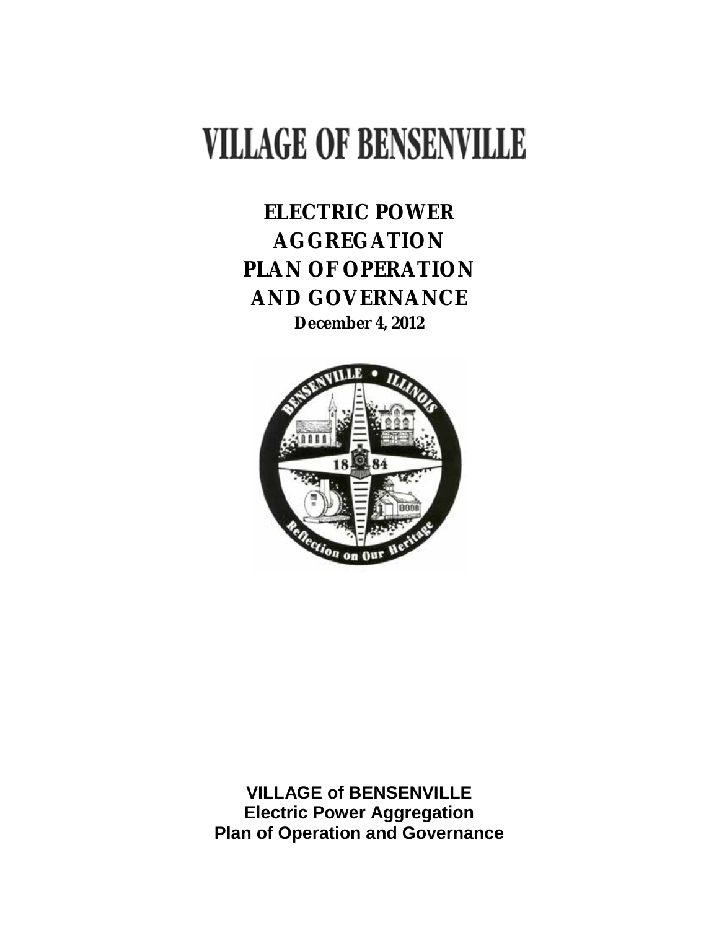# **VILLAGE OF BENSENVILLE**

**ELECTRIC POWER AGGREGATION PLAN OF OPERATION AND GOVERNANCE December 4, 2012**



**VILLAGE of BENSENVILLE Electric Power Aggregation Plan of Operation and Governance**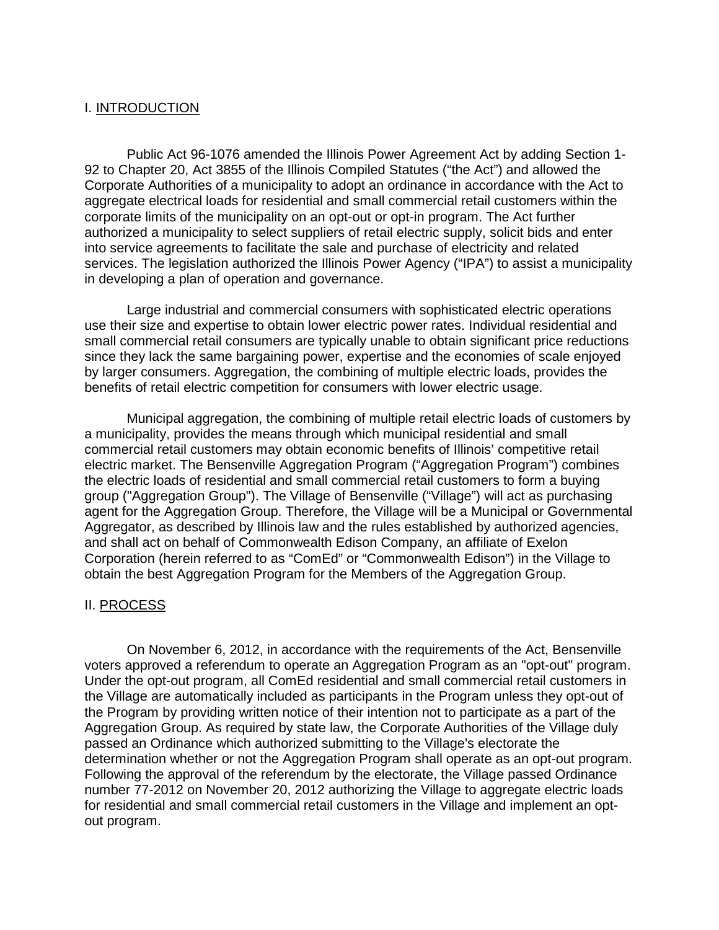#### I. INTRODUCTION

Public Act 96-1076 amended the Illinois Power Agreement Act by adding Section 1- 92 to Chapter 20, Act 3855 of the Illinois Compiled Statutes ("the Act") and allowed the Corporate Authorities of a municipality to adopt an ordinance in accordance with the Act to aggregate electrical loads for residential and small commercial retail customers within the corporate limits of the municipality on an opt-out or opt-in program. The Act further authorized a municipality to select suppliers of retail electric supply, solicit bids and enter into service agreements to facilitate the sale and purchase of electricity and related services. The legislation authorized the Illinois Power Agency ("IPA") to assist a municipality in developing a plan of operation and governance.

Large industrial and commercial consumers with sophisticated electric operations use their size and expertise to obtain lower electric power rates. Individual residential and small commercial retail consumers are typically unable to obtain significant price reductions since they lack the same bargaining power, expertise and the economies of scale enjoyed by larger consumers. Aggregation, the combining of multiple electric loads, provides the benefits of retail electric competition for consumers with lower electric usage.

Municipal aggregation, the combining of multiple retail electric loads of customers by a municipality, provides the means through which municipal residential and small commercial retail customers may obtain economic benefits of Illinois' competitive retail electric market. The Bensenville Aggregation Program ("Aggregation Program") combines the electric loads of residential and small commercial retail customers to form a buying group ("Aggregation Group"). The Village of Bensenville ("Village") will act as purchasing agent for the Aggregation Group. Therefore, the Village will be a Municipal or Governmental Aggregator, as described by Illinois law and the rules established by authorized agencies, and shall act on behalf of Commonwealth Edison Company, an affiliate of Exelon Corporation (herein referred to as "ComEd" or "Commonwealth Edison") in the Village to obtain the best Aggregation Program for the Members of the Aggregation Group.

#### II. PROCESS

On November 6, 2012, in accordance with the requirements of the Act, Bensenville voters approved a referendum to operate an Aggregation Program as an "opt-out" program. Under the opt-out program, all ComEd residential and small commercial retail customers in the Village are automatically included as participants in the Program unless they opt-out of the Program by providing written notice of their intention not to participate as a part of the Aggregation Group. As required by state law, the Corporate Authorities of the Village duly passed an Ordinance which authorized submitting to the Village's electorate the determination whether or not the Aggregation Program shall operate as an opt-out program. Following the approval of the referendum by the electorate, the Village passed Ordinance number 77-2012 on November 20, 2012 authorizing the Village to aggregate electric loads for residential and small commercial retail customers in the Village and implement an optout program.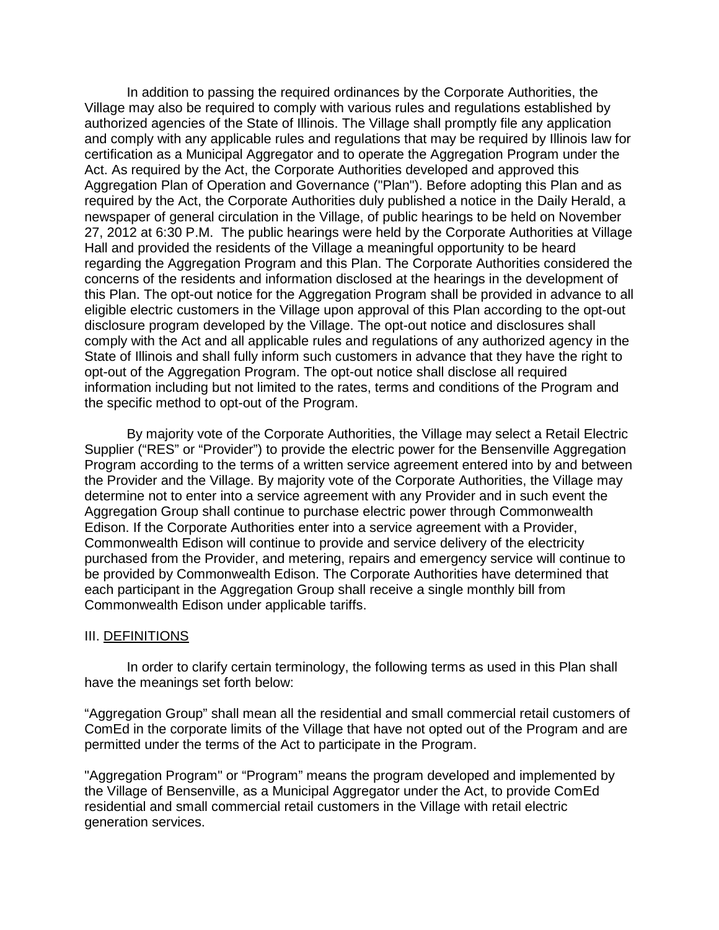In addition to passing the required ordinances by the Corporate Authorities, the Village may also be required to comply with various rules and regulations established by authorized agencies of the State of Illinois. The Village shall promptly file any application and comply with any applicable rules and regulations that may be required by Illinois law for certification as a Municipal Aggregator and to operate the Aggregation Program under the Act. As required by the Act, the Corporate Authorities developed and approved this Aggregation Plan of Operation and Governance ("Plan"). Before adopting this Plan and as required by the Act, the Corporate Authorities duly published a notice in the Daily Herald, a newspaper of general circulation in the Village, of public hearings to be held on November 27, 2012 at 6:30 P.M. The public hearings were held by the Corporate Authorities at Village Hall and provided the residents of the Village a meaningful opportunity to be heard regarding the Aggregation Program and this Plan. The Corporate Authorities considered the concerns of the residents and information disclosed at the hearings in the development of this Plan. The opt-out notice for the Aggregation Program shall be provided in advance to all eligible electric customers in the Village upon approval of this Plan according to the opt-out disclosure program developed by the Village. The opt-out notice and disclosures shall comply with the Act and all applicable rules and regulations of any authorized agency in the State of Illinois and shall fully inform such customers in advance that they have the right to opt-out of the Aggregation Program. The opt-out notice shall disclose all required information including but not limited to the rates, terms and conditions of the Program and the specific method to opt-out of the Program.

By majority vote of the Corporate Authorities, the Village may select a Retail Electric Supplier ("RES" or "Provider") to provide the electric power for the Bensenville Aggregation Program according to the terms of a written service agreement entered into by and between the Provider and the Village. By majority vote of the Corporate Authorities, the Village may determine not to enter into a service agreement with any Provider and in such event the Aggregation Group shall continue to purchase electric power through Commonwealth Edison. If the Corporate Authorities enter into a service agreement with a Provider, Commonwealth Edison will continue to provide and service delivery of the electricity purchased from the Provider, and metering, repairs and emergency service will continue to be provided by Commonwealth Edison. The Corporate Authorities have determined that each participant in the Aggregation Group shall receive a single monthly bill from Commonwealth Edison under applicable tariffs.

#### III. DEFINITIONS

In order to clarify certain terminology, the following terms as used in this Plan shall have the meanings set forth below:

"Aggregation Group" shall mean all the residential and small commercial retail customers of ComEd in the corporate limits of the Village that have not opted out of the Program and are permitted under the terms of the Act to participate in the Program.

"Aggregation Program" or "Program" means the program developed and implemented by the Village of Bensenville, as a Municipal Aggregator under the Act, to provide ComEd residential and small commercial retail customers in the Village with retail electric generation services.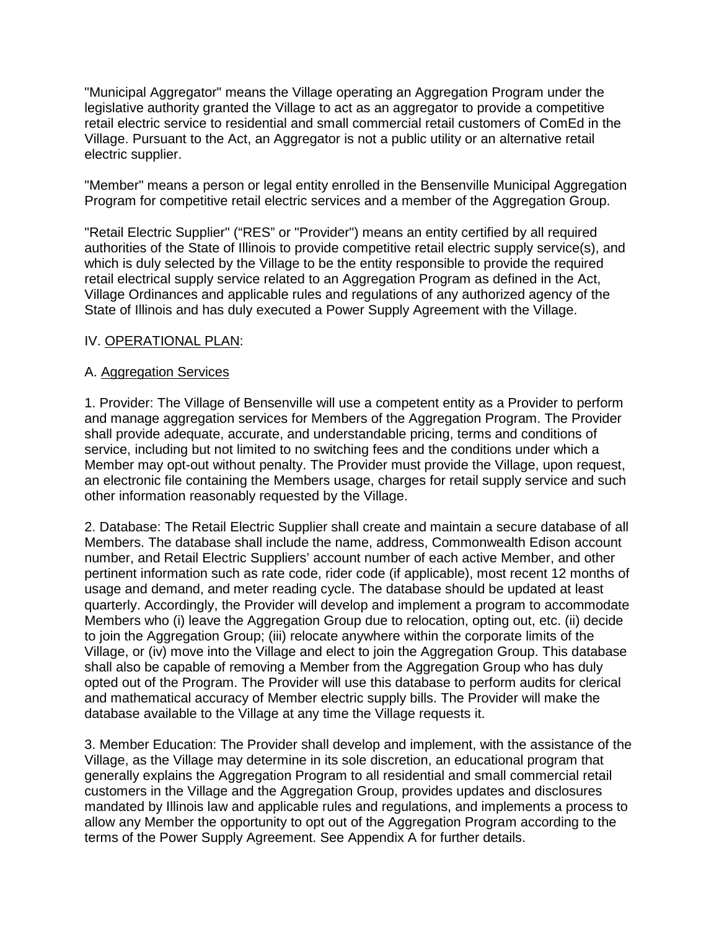"Municipal Aggregator" means the Village operating an Aggregation Program under the legislative authority granted the Village to act as an aggregator to provide a competitive retail electric service to residential and small commercial retail customers of ComEd in the Village. Pursuant to the Act, an Aggregator is not a public utility or an alternative retail electric supplier.

"Member" means a person or legal entity enrolled in the Bensenville Municipal Aggregation Program for competitive retail electric services and a member of the Aggregation Group.

"Retail Electric Supplier" ("RES" or "Provider") means an entity certified by all required authorities of the State of Illinois to provide competitive retail electric supply service(s), and which is duly selected by the Village to be the entity responsible to provide the required retail electrical supply service related to an Aggregation Program as defined in the Act, Village Ordinances and applicable rules and regulations of any authorized agency of the State of Illinois and has duly executed a Power Supply Agreement with the Village.

#### IV. OPERATIONAL PLAN:

#### A. Aggregation Services

1. Provider: The Village of Bensenville will use a competent entity as a Provider to perform and manage aggregation services for Members of the Aggregation Program. The Provider shall provide adequate, accurate, and understandable pricing, terms and conditions of service, including but not limited to no switching fees and the conditions under which a Member may opt-out without penalty. The Provider must provide the Village, upon request, an electronic file containing the Members usage, charges for retail supply service and such other information reasonably requested by the Village.

2. Database: The Retail Electric Supplier shall create and maintain a secure database of all Members. The database shall include the name, address, Commonwealth Edison account number, and Retail Electric Suppliers' account number of each active Member, and other pertinent information such as rate code, rider code (if applicable), most recent 12 months of usage and demand, and meter reading cycle. The database should be updated at least quarterly. Accordingly, the Provider will develop and implement a program to accommodate Members who (i) leave the Aggregation Group due to relocation, opting out, etc. (ii) decide to join the Aggregation Group; (iii) relocate anywhere within the corporate limits of the Village, or (iv) move into the Village and elect to join the Aggregation Group. This database shall also be capable of removing a Member from the Aggregation Group who has duly opted out of the Program. The Provider will use this database to perform audits for clerical and mathematical accuracy of Member electric supply bills. The Provider will make the database available to the Village at any time the Village requests it.

3. Member Education: The Provider shall develop and implement, with the assistance of the Village, as the Village may determine in its sole discretion, an educational program that generally explains the Aggregation Program to all residential and small commercial retail customers in the Village and the Aggregation Group, provides updates and disclosures mandated by Illinois law and applicable rules and regulations, and implements a process to allow any Member the opportunity to opt out of the Aggregation Program according to the terms of the Power Supply Agreement. See Appendix A for further details.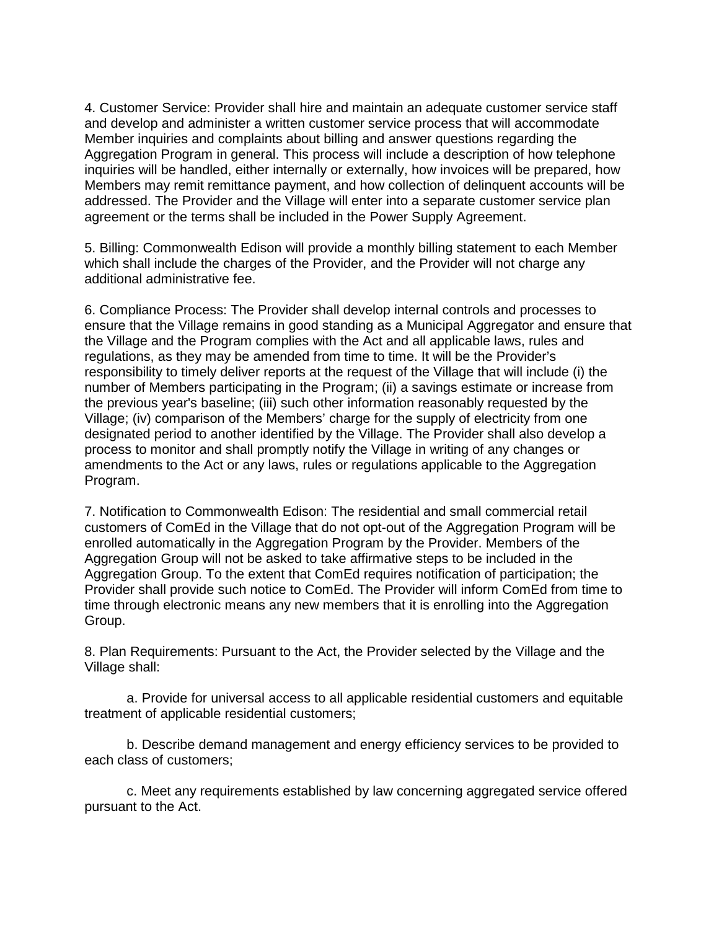4. Customer Service: Provider shall hire and maintain an adequate customer service staff and develop and administer a written customer service process that will accommodate Member inquiries and complaints about billing and answer questions regarding the Aggregation Program in general. This process will include a description of how telephone inquiries will be handled, either internally or externally, how invoices will be prepared, how Members may remit remittance payment, and how collection of delinquent accounts will be addressed. The Provider and the Village will enter into a separate customer service plan agreement or the terms shall be included in the Power Supply Agreement.

5. Billing: Commonwealth Edison will provide a monthly billing statement to each Member which shall include the charges of the Provider, and the Provider will not charge any additional administrative fee.

6. Compliance Process: The Provider shall develop internal controls and processes to ensure that the Village remains in good standing as a Municipal Aggregator and ensure that the Village and the Program complies with the Act and all applicable laws, rules and regulations, as they may be amended from time to time. It will be the Provider's responsibility to timely deliver reports at the request of the Village that will include (i) the number of Members participating in the Program; (ii) a savings estimate or increase from the previous year's baseline; (iii) such other information reasonably requested by the Village; (iv) comparison of the Members' charge for the supply of electricity from one designated period to another identified by the Village. The Provider shall also develop a process to monitor and shall promptly notify the Village in writing of any changes or amendments to the Act or any laws, rules or regulations applicable to the Aggregation Program.

7. Notification to Commonwealth Edison: The residential and small commercial retail customers of ComEd in the Village that do not opt-out of the Aggregation Program will be enrolled automatically in the Aggregation Program by the Provider. Members of the Aggregation Group will not be asked to take affirmative steps to be included in the Aggregation Group. To the extent that ComEd requires notification of participation; the Provider shall provide such notice to ComEd. The Provider will inform ComEd from time to time through electronic means any new members that it is enrolling into the Aggregation Group.

8. Plan Requirements: Pursuant to the Act, the Provider selected by the Village and the Village shall:

a. Provide for universal access to all applicable residential customers and equitable treatment of applicable residential customers;

b. Describe demand management and energy efficiency services to be provided to each class of customers;

c. Meet any requirements established by law concerning aggregated service offered pursuant to the Act.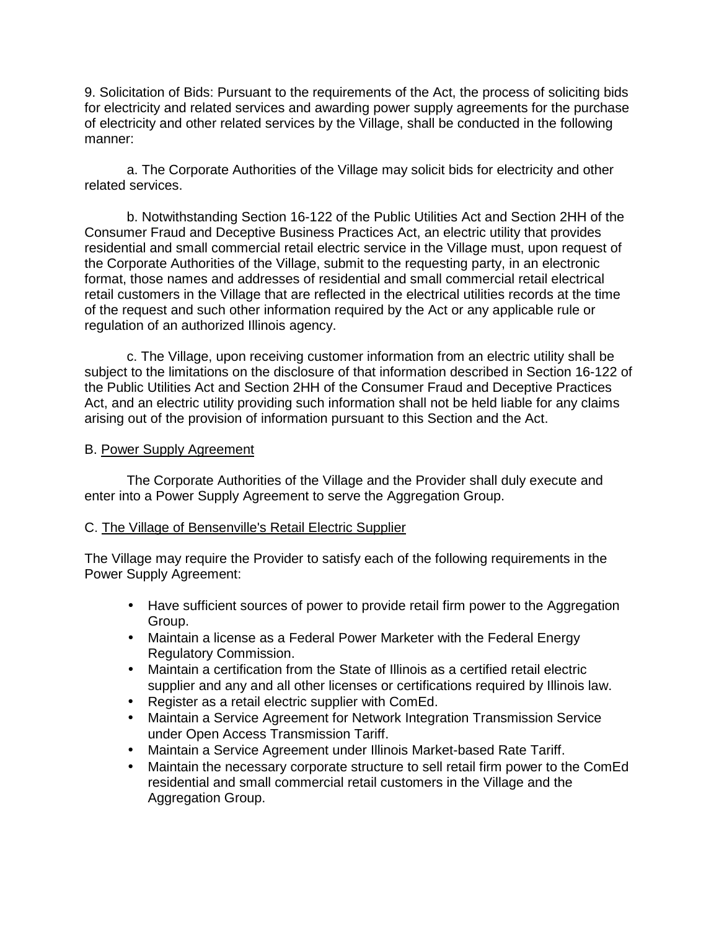9. Solicitation of Bids: Pursuant to the requirements of the Act, the process of soliciting bids for electricity and related services and awarding power supply agreements for the purchase of electricity and other related services by the Village, shall be conducted in the following manner:

a. The Corporate Authorities of the Village may solicit bids for electricity and other related services.

b. Notwithstanding Section 16-122 of the Public Utilities Act and Section 2HH of the Consumer Fraud and Deceptive Business Practices Act, an electric utility that provides residential and small commercial retail electric service in the Village must, upon request of the Corporate Authorities of the Village, submit to the requesting party, in an electronic format, those names and addresses of residential and small commercial retail electrical retail customers in the Village that are reflected in the electrical utilities records at the time of the request and such other information required by the Act or any applicable rule or regulation of an authorized Illinois agency.

c. The Village, upon receiving customer information from an electric utility shall be subject to the limitations on the disclosure of that information described in Section 16-122 of the Public Utilities Act and Section 2HH of the Consumer Fraud and Deceptive Practices Act, and an electric utility providing such information shall not be held liable for any claims arising out of the provision of information pursuant to this Section and the Act.

#### B. Power Supply Agreement

The Corporate Authorities of the Village and the Provider shall duly execute and enter into a Power Supply Agreement to serve the Aggregation Group.

#### C. The Village of Bensenville's Retail Electric Supplier

The Village may require the Provider to satisfy each of the following requirements in the Power Supply Agreement:

- Have sufficient sources of power to provide retail firm power to the Aggregation  $\mathcal{L}^{\text{max}}$ Group.
- e i Maintain a license as a Federal Power Marketer with the Federal Energy Regulatory Commission.
- $\mathbf{r}$ Maintain a certification from the State of Illinois as a certified retail electric supplier and any and all other licenses or certifications required by Illinois law.
- Register as a retail electric supplier with ComEd.  $\mathbf{r} = \mathbf{r}$
- Maintain a Service Agreement for Network Integration Transmission Service under Open Access Transmission Tariff.
- Maintain a Service Agreement under Illinois Market-based Rate Tariff.
- Maintain the necessary corporate structure to sell retail firm power to the ComEd residential and small commercial retail customers in the Village and the Aggregation Group.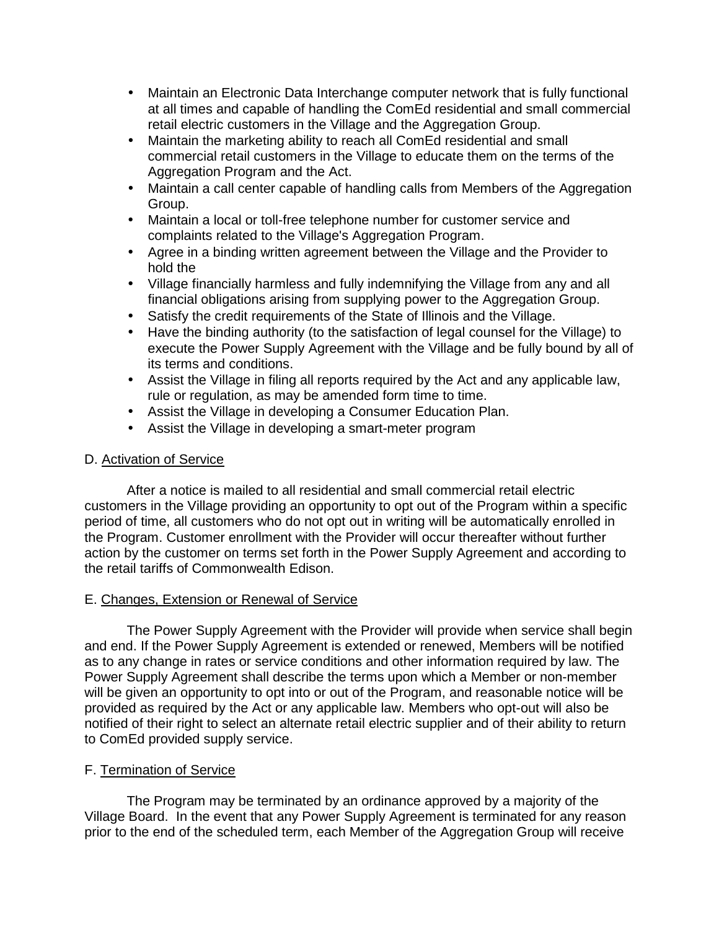- $\mathbf{r}$ Maintain an Electronic Data Interchange computer network that is fully functional at all times and capable of handling the ComEd residential and small commercial retail electric customers in the Village and the Aggregation Group.
- Maintain the marketing ability to reach all ComEd residential and small commercial retail customers in the Village to educate them on the terms of the Aggregation Program and the Act.
- Maintain a call center capable of handling calls from Members of the Aggregation  $\mathcal{L}^{\text{max}}$ Group.
- Maintain a local or toll-free telephone number for customer service and  $\mathbf{r} = \mathbf{r}$ complaints related to the Village's Aggregation Program.
- Agree in a binding written agreement between the Village and the Provider to hold the
- Village financially harmless and fully indemnifying the Village from any and all financial obligations arising from supplying power to the Aggregation Group.
- Satisfy the credit requirements of the State of Illinois and the Village.
- Have the binding authority (to the satisfaction of legal counsel for the Village) to execute the Power Supply Agreement with the Village and be fully bound by all of its terms and conditions.
- Assist the Village in filing all reports required by the Act and any applicable law, rule or regulation, as may be amended form time to time.
- Assist the Village in developing a Consumer Education Plan.
- Assist the Village in developing a smart-meter program

#### D. Activation of Service

After a notice is mailed to all residential and small commercial retail electric customers in the Village providing an opportunity to opt out of the Program within a specific period of time, all customers who do not opt out in writing will be automatically enrolled in the Program. Customer enrollment with the Provider will occur thereafter without further action by the customer on terms set forth in the Power Supply Agreement and according to the retail tariffs of Commonwealth Edison.

#### E. Changes, Extension or Renewal of Service

The Power Supply Agreement with the Provider will provide when service shall begin and end. If the Power Supply Agreement is extended or renewed, Members will be notified as to any change in rates or service conditions and other information required by law. The Power Supply Agreement shall describe the terms upon which a Member or non-member will be given an opportunity to opt into or out of the Program, and reasonable notice will be provided as required by the Act or any applicable law. Members who opt-out will also be notified of their right to select an alternate retail electric supplier and of their ability to return to ComEd provided supply service.

#### F. Termination of Service

The Program may be terminated by an ordinance approved by a majority of the Village Board. In the event that any Power Supply Agreement is terminated for any reason prior to the end of the scheduled term, each Member of the Aggregation Group will receive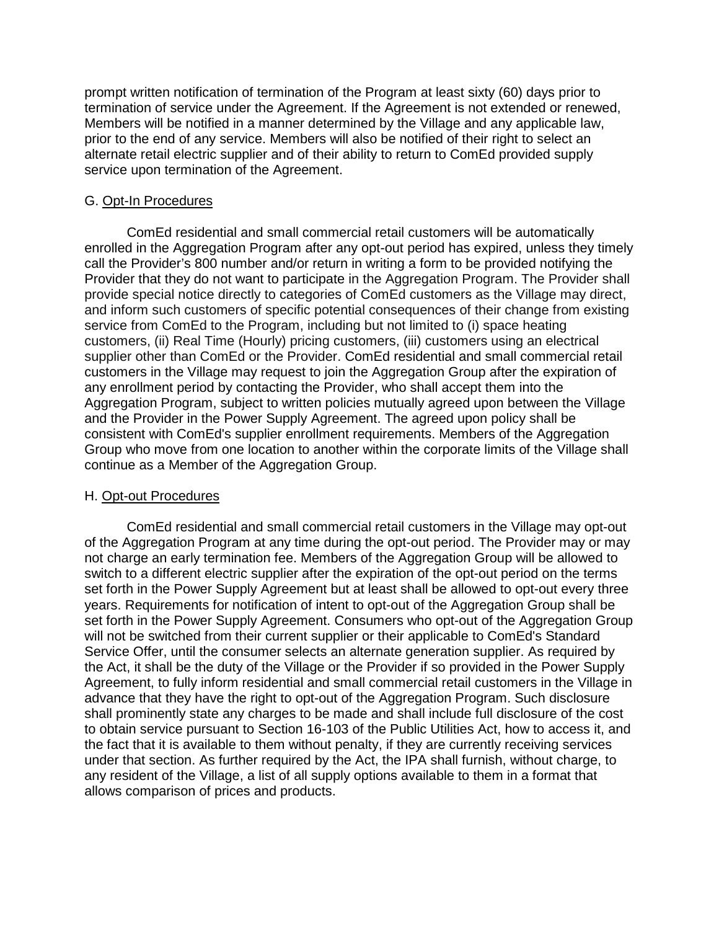prompt written notification of termination of the Program at least sixty (60) days prior to termination of service under the Agreement. If the Agreement is not extended or renewed, Members will be notified in a manner determined by the Village and any applicable law, prior to the end of any service. Members will also be notified of their right to select an alternate retail electric supplier and of their ability to return to ComEd provided supply service upon termination of the Agreement.

#### G. Opt-In Procedures

ComEd residential and small commercial retail customers will be automatically enrolled in the Aggregation Program after any opt-out period has expired, unless they timely call the Provider's 800 number and/or return in writing a form to be provided notifying the Provider that they do not want to participate in the Aggregation Program. The Provider shall provide special notice directly to categories of ComEd customers as the Village may direct, and inform such customers of specific potential consequences of their change from existing service from ComEd to the Program, including but not limited to (i) space heating customers, (ii) Real Time (Hourly) pricing customers, (iii) customers using an electrical supplier other than ComEd or the Provider. ComEd residential and small commercial retail customers in the Village may request to join the Aggregation Group after the expiration of any enrollment period by contacting the Provider, who shall accept them into the Aggregation Program, subject to written policies mutually agreed upon between the Village and the Provider in the Power Supply Agreement. The agreed upon policy shall be consistent with ComEd's supplier enrollment requirements. Members of the Aggregation Group who move from one location to another within the corporate limits of the Village shall continue as a Member of the Aggregation Group.

#### H. Opt-out Procedures

ComEd residential and small commercial retail customers in the Village may opt-out of the Aggregation Program at any time during the opt-out period. The Provider may or may not charge an early termination fee. Members of the Aggregation Group will be allowed to switch to a different electric supplier after the expiration of the opt-out period on the terms set forth in the Power Supply Agreement but at least shall be allowed to opt-out every three years. Requirements for notification of intent to opt-out of the Aggregation Group shall be set forth in the Power Supply Agreement. Consumers who opt-out of the Aggregation Group will not be switched from their current supplier or their applicable to ComEd's Standard Service Offer, until the consumer selects an alternate generation supplier. As required by the Act, it shall be the duty of the Village or the Provider if so provided in the Power Supply Agreement, to fully inform residential and small commercial retail customers in the Village in advance that they have the right to opt-out of the Aggregation Program. Such disclosure shall prominently state any charges to be made and shall include full disclosure of the cost to obtain service pursuant to Section 16-103 of the Public Utilities Act, how to access it, and the fact that it is available to them without penalty, if they are currently receiving services under that section. As further required by the Act, the IPA shall furnish, without charge, to any resident of the Village, a list of all supply options available to them in a format that allows comparison of prices and products.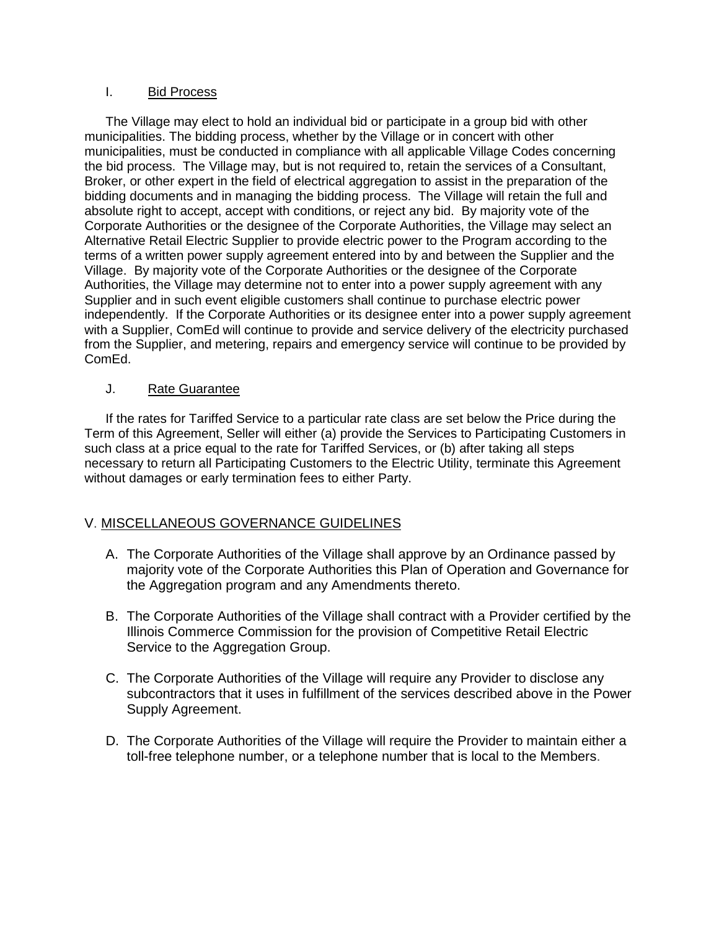#### I. Bid Process

The Village may elect to hold an individual bid or participate in a group bid with other municipalities. The bidding process, whether by the Village or in concert with other municipalities, must be conducted in compliance with all applicable Village Codes concerning the bid process. The Village may, but is not required to, retain the services of a Consultant, Broker, or other expert in the field of electrical aggregation to assist in the preparation of the bidding documents and in managing the bidding process. The Village will retain the full and absolute right to accept, accept with conditions, or reject any bid. By majority vote of the Corporate Authorities or the designee of the Corporate Authorities, the Village may select an Alternative Retail Electric Supplier to provide electric power to the Program according to the terms of a written power supply agreement entered into by and between the Supplier and the Village. By majority vote of the Corporate Authorities or the designee of the Corporate Authorities, the Village may determine not to enter into a power supply agreement with any Supplier and in such event eligible customers shall continue to purchase electric power independently. If the Corporate Authorities or its designee enter into a power supply agreement with a Supplier, ComEd will continue to provide and service delivery of the electricity purchased from the Supplier, and metering, repairs and emergency service will continue to be provided by ComEd.

#### J. Rate Guarantee

If the rates for Tariffed Service to a particular rate class are set below the Price during the Term of this Agreement, Seller will either (a) provide the Services to Participating Customers in such class at a price equal to the rate for Tariffed Services, or (b) after taking all steps necessary to return all Participating Customers to the Electric Utility, terminate this Agreement without damages or early termination fees to either Party.

#### V. MISCELLANEOUS GOVERNANCE GUIDELINES

- A. The Corporate Authorities of the Village shall approve by an Ordinance passed by majority vote of the Corporate Authorities this Plan of Operation and Governance for the Aggregation program and any Amendments thereto.
- B. The Corporate Authorities of the Village shall contract with a Provider certified by the Illinois Commerce Commission for the provision of Competitive Retail Electric Service to the Aggregation Group.
- C. The Corporate Authorities of the Village will require any Provider to disclose any subcontractors that it uses in fulfillment of the services described above in the Power Supply Agreement.
- D. The Corporate Authorities of the Village will require the Provider to maintain either a toll-free telephone number, or a telephone number that is local to the Members.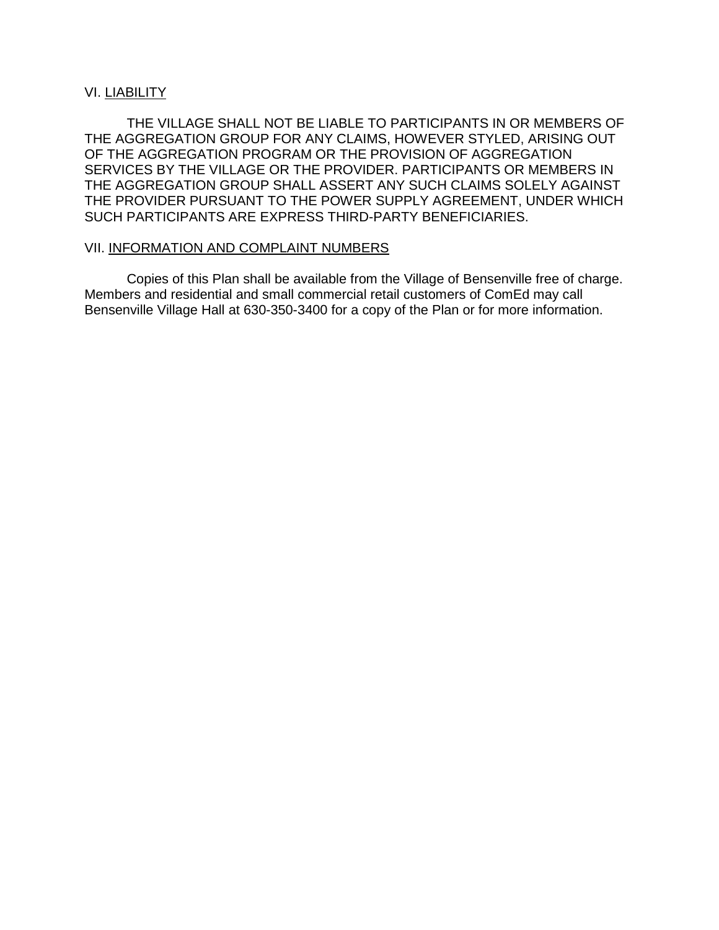#### VI. LIABILITY

THE VILLAGE SHALL NOT BE LIABLE TO PARTICIPANTS IN OR MEMBERS OF THE AGGREGATION GROUP FOR ANY CLAIMS, HOWEVER STYLED, ARISING OUT OF THE AGGREGATION PROGRAM OR THE PROVISION OF AGGREGATION SERVICES BY THE VILLAGE OR THE PROVIDER. PARTICIPANTS OR MEMBERS IN THE AGGREGATION GROUP SHALL ASSERT ANY SUCH CLAIMS SOLELY AGAINST THE PROVIDER PURSUANT TO THE POWER SUPPLY AGREEMENT, UNDER WHICH SUCH PARTICIPANTS ARE EXPRESS THIRD-PARTY BENEFICIARIES.

#### VII. INFORMATION AND COMPLAINT NUMBERS

Copies of this Plan shall be available from the Village of Bensenville free of charge. Members and residential and small commercial retail customers of ComEd may call Bensenville Village Hall at 630-350-3400 for a copy of the Plan or for more information.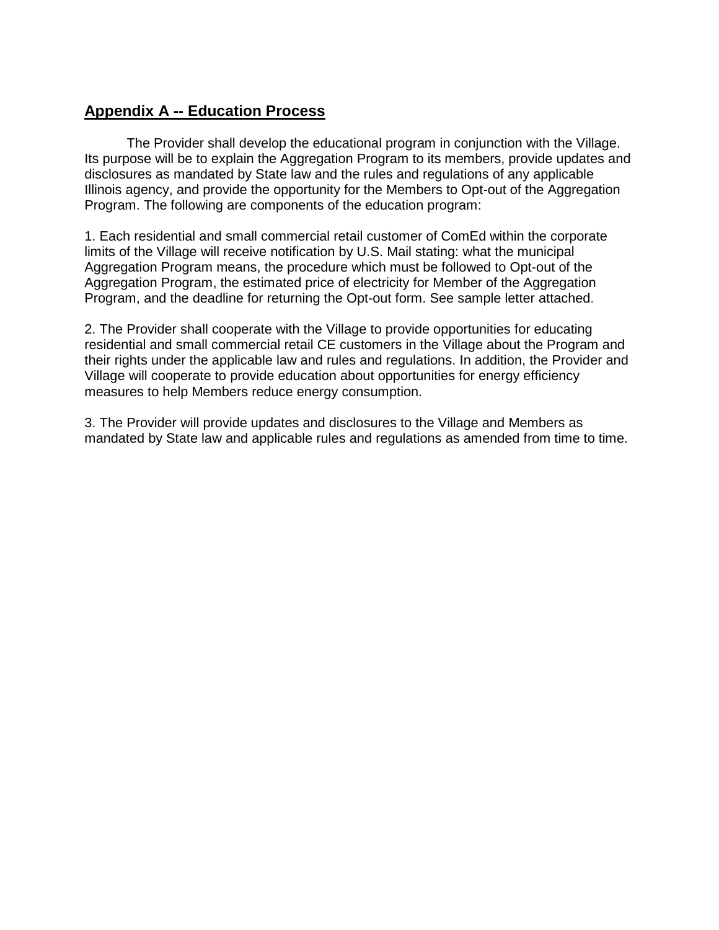# **Appendix A -- Education Process**

The Provider shall develop the educational program in conjunction with the Village. Its purpose will be to explain the Aggregation Program to its members, provide updates and disclosures as mandated by State law and the rules and regulations of any applicable Illinois agency, and provide the opportunity for the Members to Opt-out of the Aggregation Program. The following are components of the education program:

1. Each residential and small commercial retail customer of ComEd within the corporate limits of the Village will receive notification by U.S. Mail stating: what the municipal Aggregation Program means, the procedure which must be followed to Opt-out of the Aggregation Program, the estimated price of electricity for Member of the Aggregation Program, and the deadline for returning the Opt-out form. See sample letter attached.

2. The Provider shall cooperate with the Village to provide opportunities for educating residential and small commercial retail CE customers in the Village about the Program and their rights under the applicable law and rules and regulations. In addition, the Provider and Village will cooperate to provide education about opportunities for energy efficiency measures to help Members reduce energy consumption.

3. The Provider will provide updates and disclosures to the Village and Members as mandated by State law and applicable rules and regulations as amended from time to time.